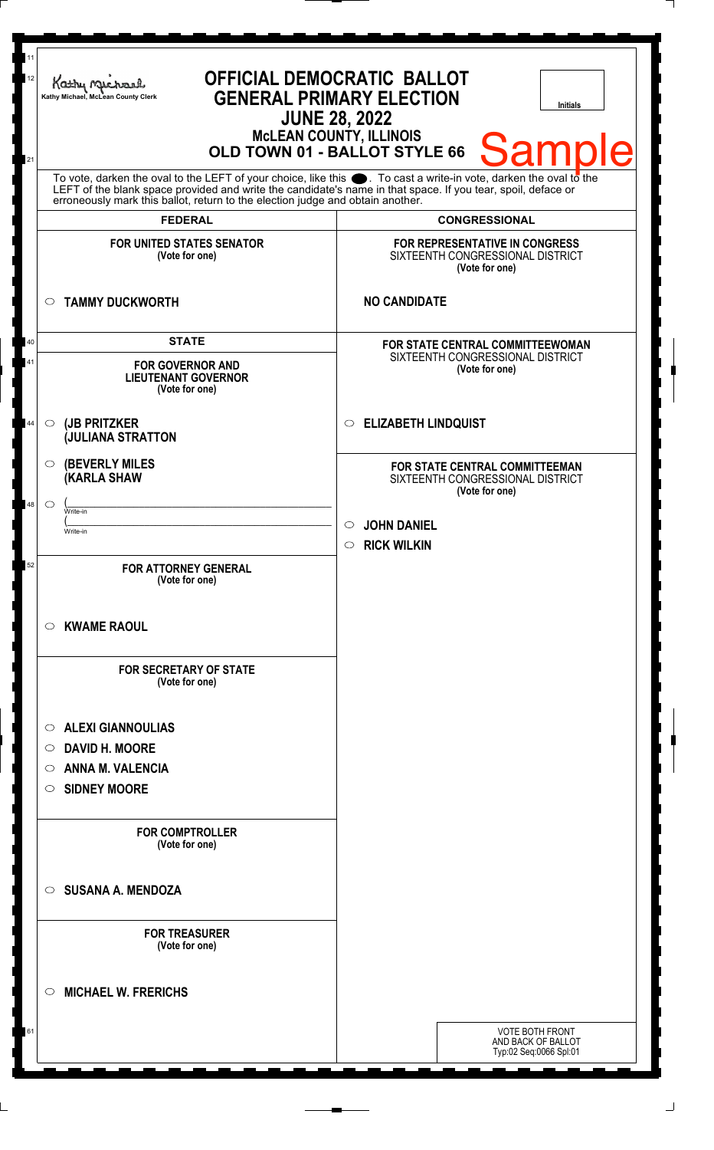| 12<br>21                                                                                                                                                                                                                                                                                                               | <b>OFFICIAL DEMOCRATIC BALLOT</b><br>Kathy Michael<br><b>GENERAL PRIMARY ELECTION</b><br>Kathy Michael, McLean County Clerk<br><b>Initials</b><br><b>JUNE 28, 2022</b><br><b>MCLEAN COUNTY, ILLINOIS</b><br><b>Sample</b><br>OLD TOWN 01 - BALLOT STYLE 66 |                                                                                      |
|------------------------------------------------------------------------------------------------------------------------------------------------------------------------------------------------------------------------------------------------------------------------------------------------------------------------|------------------------------------------------------------------------------------------------------------------------------------------------------------------------------------------------------------------------------------------------------------|--------------------------------------------------------------------------------------|
| To vote, darken the oval to the LEFT of your choice, like this $\bullet$ . To cast a write-in vote, darken the oval to the LEFT of the boral to the LEFT of the blank space provided and write the candidate's name in that space. I<br>erroneously mark this ballot, return to the election judge and obtain another. |                                                                                                                                                                                                                                                            |                                                                                      |
|                                                                                                                                                                                                                                                                                                                        | <b>FEDERAL</b>                                                                                                                                                                                                                                             | <b>CONGRESSIONAL</b>                                                                 |
|                                                                                                                                                                                                                                                                                                                        | <b>FOR UNITED STATES SENATOR</b><br>(Vote for one)                                                                                                                                                                                                         | FOR REPRESENTATIVE IN CONGRESS<br>SIXTEENTH CONGRESSIONAL DISTRICT<br>(Vote for one) |
|                                                                                                                                                                                                                                                                                                                        | <b>TAMMY DUCKWORTH</b><br>$\circ$                                                                                                                                                                                                                          | <b>NO CANDIDATE</b>                                                                  |
| 40                                                                                                                                                                                                                                                                                                                     | <b>STATE</b>                                                                                                                                                                                                                                               | FOR STATE CENTRAL COMMITTEEWOMAN                                                     |
| 41                                                                                                                                                                                                                                                                                                                     | <b>FOR GOVERNOR AND</b><br><b>LIEUTENANT GOVERNOR</b><br>(Vote for one)                                                                                                                                                                                    | SIXTEENTH CONGRESSIONAL DISTRICT<br>(Vote for one)                                   |
| 44                                                                                                                                                                                                                                                                                                                     | (JB PRITZKER<br>$\circ$<br><b>JULIANA STRATTON</b>                                                                                                                                                                                                         | <b>ELIZABETH LINDQUIST</b><br>O                                                      |
|                                                                                                                                                                                                                                                                                                                        | <b>(BEVERLY MILES)</b><br>$\circ$<br><b>(KARLA SHAW</b>                                                                                                                                                                                                    | FOR STATE CENTRAL COMMITTEEMAN<br>SIXTEENTH CONGRESSIONAL DISTRICT<br>(Vote for one) |
| 48                                                                                                                                                                                                                                                                                                                     | $\circ$<br>Write-in                                                                                                                                                                                                                                        |                                                                                      |
|                                                                                                                                                                                                                                                                                                                        | Write-in                                                                                                                                                                                                                                                   | $\circ$ JOHN DANIEL<br><b>RICK WILKIN</b><br>$\bigcirc$                              |
| 52                                                                                                                                                                                                                                                                                                                     | <b>FOR ATTORNEY GENERAL</b><br>(Vote for one)                                                                                                                                                                                                              |                                                                                      |
|                                                                                                                                                                                                                                                                                                                        | <b>KWAME RAOUL</b><br>$\bigcirc$                                                                                                                                                                                                                           |                                                                                      |
|                                                                                                                                                                                                                                                                                                                        | <b>FOR SECRETARY OF STATE</b><br>(Vote for one)                                                                                                                                                                                                            |                                                                                      |
|                                                                                                                                                                                                                                                                                                                        | <b>ALEXI GIANNOULIAS</b><br>$\circ$                                                                                                                                                                                                                        |                                                                                      |
|                                                                                                                                                                                                                                                                                                                        | <b>DAVID H. MOORE</b><br>O                                                                                                                                                                                                                                 |                                                                                      |
|                                                                                                                                                                                                                                                                                                                        | <b>ANNA M. VALENCIA</b><br>◯                                                                                                                                                                                                                               |                                                                                      |
|                                                                                                                                                                                                                                                                                                                        | <b>SIDNEY MOORE</b><br>○                                                                                                                                                                                                                                   |                                                                                      |
|                                                                                                                                                                                                                                                                                                                        | <b>FOR COMPTROLLER</b><br>(Vote for one)                                                                                                                                                                                                                   |                                                                                      |
|                                                                                                                                                                                                                                                                                                                        | <b>SUSANA A. MENDOZA</b><br>$\bigcirc$                                                                                                                                                                                                                     |                                                                                      |
|                                                                                                                                                                                                                                                                                                                        | <b>FOR TREASURER</b><br>(Vote for one)                                                                                                                                                                                                                     |                                                                                      |
|                                                                                                                                                                                                                                                                                                                        | <b>MICHAEL W. FRERICHS</b><br>◯                                                                                                                                                                                                                            |                                                                                      |
| 61                                                                                                                                                                                                                                                                                                                     |                                                                                                                                                                                                                                                            | <b>VOTE BOTH FRONT</b><br>AND BACK OF BALLOT<br>Typ:02 Seq:0066 Spl:01               |

 $\Box$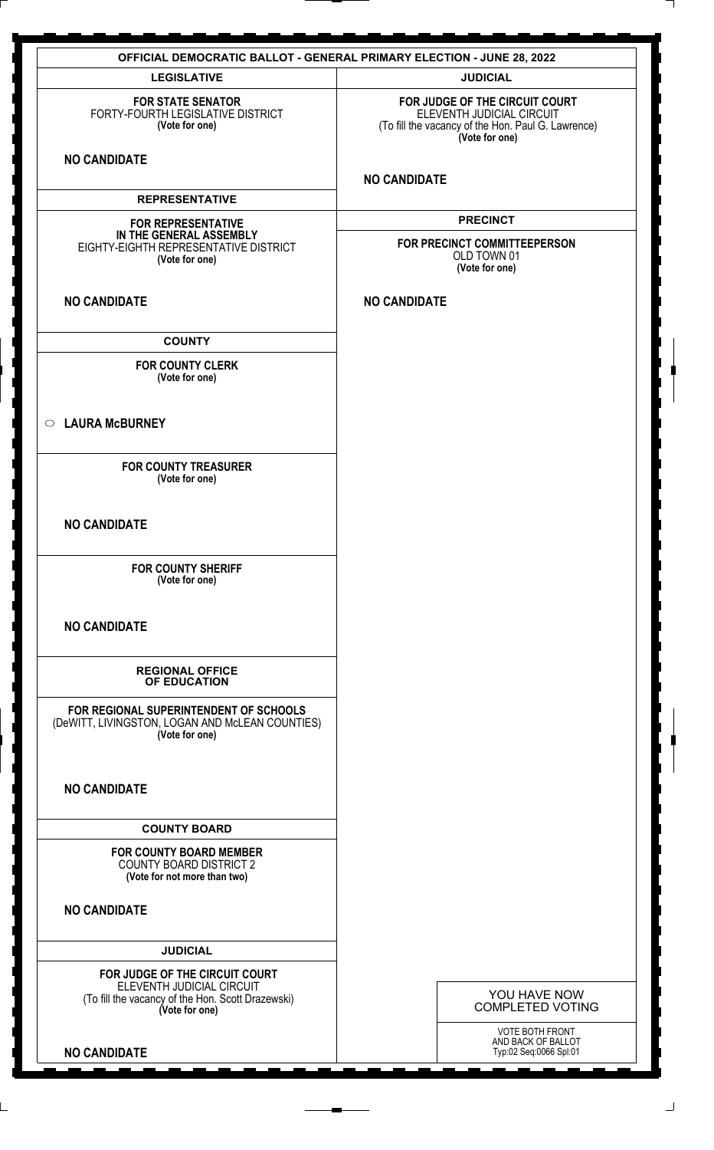| <b>OFFICIAL DEMOCRATIC BALLOT - GENERAL PRIMARY ELECTION - JUNE 28, 2022</b>                                |                                                                                                                                     |  |
|-------------------------------------------------------------------------------------------------------------|-------------------------------------------------------------------------------------------------------------------------------------|--|
| <b>LEGISLATIVE</b>                                                                                          | <b>JUDICIAL</b>                                                                                                                     |  |
| <b>FOR STATE SENATOR</b><br>FORTY-FOURTH LEGISLATIVE DISTRICT<br>(Vote for one)                             | FOR JUDGE OF THE CIRCUIT COURT<br>ELEVENTH JUDICIAL CIRCUIT<br>(To fill the vacancy of the Hon. Paul G. Lawrence)<br>(Vote for one) |  |
| <b>NO CANDIDATE</b>                                                                                         | <b>NO CANDIDATE</b>                                                                                                                 |  |
| <b>REPRESENTATIVE</b>                                                                                       |                                                                                                                                     |  |
| <b>FOR REPRESENTATIVE</b>                                                                                   | <b>PRECINCT</b>                                                                                                                     |  |
| IN THE GENERAL ASSEMBLY<br>EIGHTY-EIGHTH REPRESENTATIVE DISTRICT<br>(Vote for one)                          | FOR PRECINCT COMMITTEEPERSON<br>OLD TOWN 01<br>(Vote for one)                                                                       |  |
| <b>NO CANDIDATE</b>                                                                                         | <b>NO CANDIDATE</b>                                                                                                                 |  |
| <b>COUNTY</b>                                                                                               |                                                                                                                                     |  |
| FOR COUNTY CLERK<br>(Vote for one)                                                                          |                                                                                                                                     |  |
| ○ LAURA McBURNEY                                                                                            |                                                                                                                                     |  |
| <b>FOR COUNTY TREASURER</b><br>(Vote for one)                                                               |                                                                                                                                     |  |
| <b>NO CANDIDATE</b>                                                                                         |                                                                                                                                     |  |
| <b>FOR COUNTY SHERIFF</b><br>(Vote for one)                                                                 |                                                                                                                                     |  |
| <b>NO CANDIDATE</b>                                                                                         |                                                                                                                                     |  |
| <b>REGIONAL OFFICE</b><br>OF EDUCATION                                                                      |                                                                                                                                     |  |
| FOR REGIONAL SUPERINTENDENT OF SCHOOLS<br>(DeWITT, LIVINGSTON, LOGAN AND McLEAN COUNTIES)<br>(Vote for one) |                                                                                                                                     |  |
| <b>NO CANDIDATE</b>                                                                                         |                                                                                                                                     |  |
| <b>COUNTY BOARD</b>                                                                                         |                                                                                                                                     |  |
| <b>FOR COUNTY BOARD MEMBER</b><br><b>COUNTY BOARD DISTRICT 2</b><br>(Vote for not more than two)            |                                                                                                                                     |  |
| <b>NO CANDIDATE</b>                                                                                         |                                                                                                                                     |  |
| <b>JUDICIAL</b>                                                                                             |                                                                                                                                     |  |
| FOR JUDGE OF THE CIRCUIT COURT                                                                              |                                                                                                                                     |  |
| ELEVENTH JUDICIAL CIRCUIT<br>(To fill the vacancy of the Hon. Scott Drazewski)<br>(Vote for one)            | YOU HAVE NOW<br><b>COMPLETED VOTING</b>                                                                                             |  |
|                                                                                                             | <b>VOTE BOTH FRONT</b>                                                                                                              |  |
| <b>NO CANDIDATE</b>                                                                                         | AND BACK OF BALLOT<br>Typ:02 Seq:0066 Spl:01                                                                                        |  |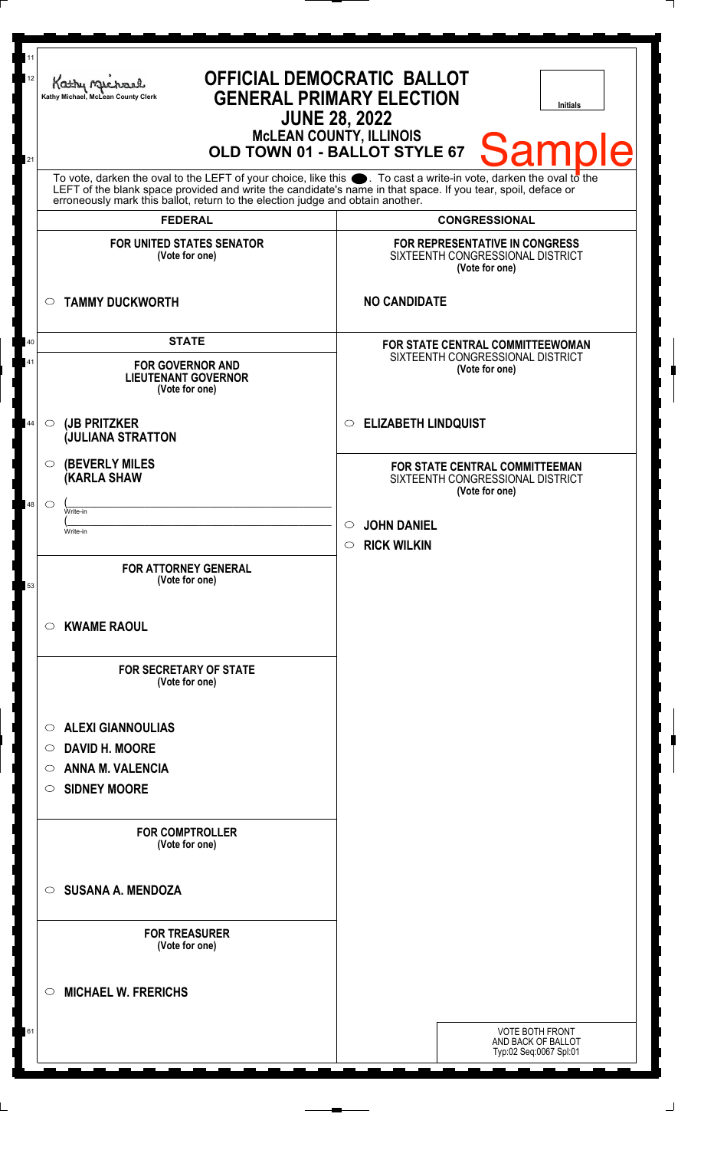| 11<br>12 | <b>OFFICIAL DEMOCRATIC BALLOT</b><br>Kathy Michael<br><b>GENERAL PRIMARY ELECTION</b><br>Kathy Michael, McLean County Clerk<br><b>Initials</b><br><b>JUNE 28, 2022</b><br><b>MCLEAN COUNTY, ILLINOIS</b><br><b>Sample</b><br>OLD TOWN 01 - BALLOT STYLE 67                                                             |                                                                                        |
|----------|------------------------------------------------------------------------------------------------------------------------------------------------------------------------------------------------------------------------------------------------------------------------------------------------------------------------|----------------------------------------------------------------------------------------|
| 21       | To vote, darken the oval to the LEFT of your choice, like this $\bullet$ . To cast a write-in vote, darken the oval to the LEFT of the blank space provided and write the candidate's name in that space. If you tear, spoil, deface<br>erroneously mark this ballot, return to the election judge and obtain another. |                                                                                        |
|          | <b>FEDERAL</b>                                                                                                                                                                                                                                                                                                         | <b>CONGRESSIONAL</b>                                                                   |
|          | <b>FOR UNITED STATES SENATOR</b><br>(Vote for one)                                                                                                                                                                                                                                                                     | FOR REPRESENTATIVE IN CONGRESS<br>SIXTEENTH CONGRESSIONAL DISTRICT<br>(Vote for one)   |
|          | <b>TAMMY DUCKWORTH</b><br>$\circ$                                                                                                                                                                                                                                                                                      | <b>NO CANDIDATE</b>                                                                    |
| 40<br>41 | <b>STATE</b><br><b>FOR GOVERNOR AND</b><br><b>LIEUTENANT GOVERNOR</b><br>(Vote for one)                                                                                                                                                                                                                                | FOR STATE CENTRAL COMMITTEEWOMAN<br>SIXTEENTH CONGRESSIONAL DISTRICT<br>(Vote for one) |
| 44       | (JB PRITZKER<br>$\circ$<br><b>JULIANA STRATTON</b>                                                                                                                                                                                                                                                                     | <b>ELIZABETH LINDQUIST</b><br>O                                                        |
|          | <b>(BEVERLY MILES)</b><br>O<br><b>(KARLA SHAW</b>                                                                                                                                                                                                                                                                      | FOR STATE CENTRAL COMMITTEEMAN<br>SIXTEENTH CONGRESSIONAL DISTRICT<br>(Vote for one)   |
| 48       | $\circ$<br>Write-in                                                                                                                                                                                                                                                                                                    |                                                                                        |
|          | Write-in                                                                                                                                                                                                                                                                                                               | $\circ$ JOHN DANIEL                                                                    |
| 53       | <b>FOR ATTORNEY GENERAL</b><br>(Vote for one)                                                                                                                                                                                                                                                                          | $\circ$ RICK WILKIN                                                                    |
|          | <b>KWAME RAOUL</b><br>O                                                                                                                                                                                                                                                                                                |                                                                                        |
|          | <b>FOR SECRETARY OF STATE</b><br>(Vote for one)                                                                                                                                                                                                                                                                        |                                                                                        |
|          | <b>ALEXI GIANNOULIAS</b><br>$\circ$                                                                                                                                                                                                                                                                                    |                                                                                        |
|          | <b>DAVID H. MOORE</b><br>O                                                                                                                                                                                                                                                                                             |                                                                                        |
|          | <b>ANNA M. VALENCIA</b><br>O                                                                                                                                                                                                                                                                                           |                                                                                        |
|          | <b>SIDNEY MOORE</b><br>O                                                                                                                                                                                                                                                                                               |                                                                                        |
|          | <b>FOR COMPTROLLER</b><br>(Vote for one)                                                                                                                                                                                                                                                                               |                                                                                        |
|          | <b>SUSANA A. MENDOZA</b><br>◯                                                                                                                                                                                                                                                                                          |                                                                                        |
|          | <b>FOR TREASURER</b><br>(Vote for one)                                                                                                                                                                                                                                                                                 |                                                                                        |
|          | <b>MICHAEL W. FRERICHS</b><br>O                                                                                                                                                                                                                                                                                        |                                                                                        |
| 61       |                                                                                                                                                                                                                                                                                                                        | <b>VOTE BOTH FRONT</b><br>AND BACK OF BALLOT<br>Typ:02 Seq:0067 Spl:01                 |